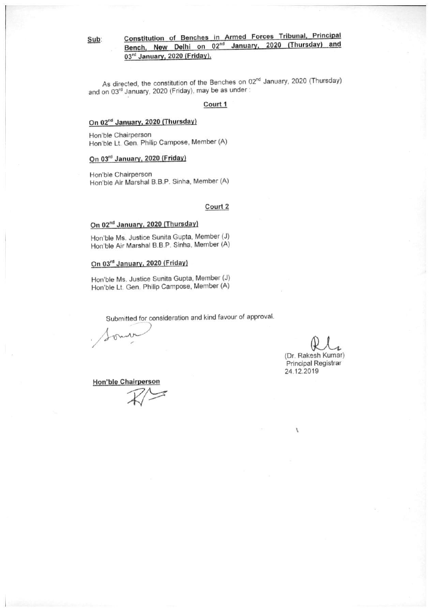## Constitution of Benches in Armed Forces Tribunal, Principal<br>Bench, New Delhi on 02<sup>nd</sup> January, 2020 (Thursday) and Sub: 03rd January, 2020 (Friday).

As directed, the constitution of the Benches on 02<sup>nd</sup> January, 2020 (Thursday) and on 03rd January, 2020 (Friday), may be as under:

#### Court 1

#### On 02<sup>nd</sup> January, 2020 (Thursday)

Hon'ble Chairperson Hon'ble Lt. Gen. Philip Campose, Member (A)

#### On 03rd January, 2020 (Friday)

Hon'ble Chairperson Hon'ble Air Marshal B.B.P. Sinha, Member (A)

#### Court 2

### On 02<sup>nd</sup> January, 2020 (Thursday)

Hon'ble Ms. Justice Sunita Gupta, Member (J) Hon'ble Air Marshal B.B.P. Sinha, Member (A)

#### On 03rd January, 2020 (Friday)

Hon'ble Ms. Justice Sunita Gupta, Member (J) Hon'ble Lt. Gen. Philip Campose, Member (A)

Submitted for consideration and kind favour of approval.

(Dr. Rakesh Kumar) Principal Registrar 24.12.2019

Hon'ble Chairperson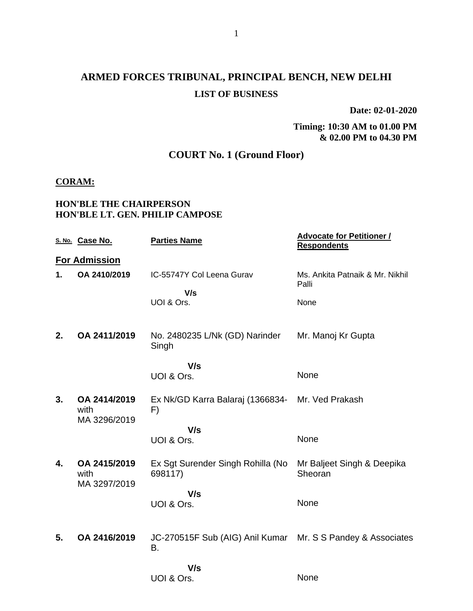# **ARMED FORCES TRIBUNAL, PRINCIPAL BENCH, NEW DELHI LIST OF BUSINESS**

**Date: 02-01-2020**

**Timing: 10:30 AM to 01.00 PM & 02.00 PM to 04.30 PM**

## **COURT No. 1 (Ground Floor)**

### **CORAM:**

#### **HON'BLE THE CHAIRPERSON HON'BLE LT. GEN. PHILIP CAMPOSE**

|    | S. No. Case No.                      | <b>Parties Name</b>                                               | <b>Advocate for Petitioner /</b><br><b>Respondents</b> |
|----|--------------------------------------|-------------------------------------------------------------------|--------------------------------------------------------|
|    | <b>For Admission</b>                 |                                                                   |                                                        |
| 1. | OA 2410/2019                         | IC-55747Y Col Leena Gurav                                         | Ms. Ankita Patnaik & Mr. Nikhil<br>Palli               |
|    |                                      | V/s<br>UOI & Ors.                                                 | None                                                   |
| 2. | OA 2411/2019                         | No. 2480235 L/Nk (GD) Narinder<br>Singh                           | Mr. Manoj Kr Gupta                                     |
|    |                                      | V/s<br>UOI & Ors.                                                 | None                                                   |
| 3. | OA 2414/2019<br>with<br>MA 3296/2019 | Ex Nk/GD Karra Balaraj (1366834- Mr. Ved Prakash<br>F)            |                                                        |
|    |                                      | V/s                                                               |                                                        |
|    |                                      | UOI & Ors.                                                        | None                                                   |
| 4. | OA 2415/2019<br>with<br>MA 3297/2019 | Ex Sgt Surender Singh Rohilla (No<br>698117)                      | Mr Baljeet Singh & Deepika<br>Sheoran                  |
|    |                                      | V/s<br>UOI & Ors.                                                 | None                                                   |
| 5. | OA 2416/2019                         | JC-270515F Sub (AIG) Anil Kumar Mr. S S Pandey & Associates<br>В. |                                                        |
|    |                                      | V/s                                                               |                                                        |
|    |                                      | UOI & Ors.                                                        | None                                                   |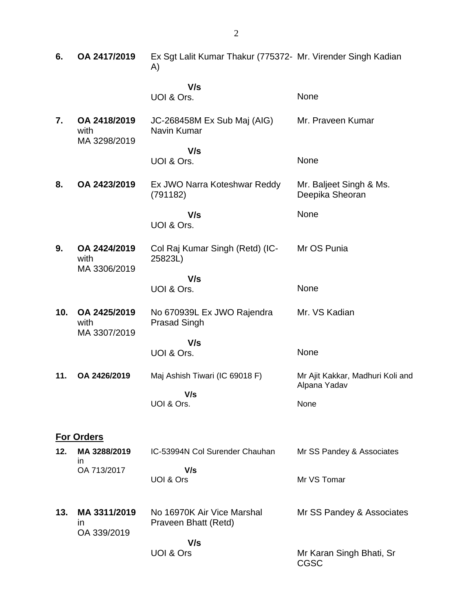| 6.  | OA 2417/2019                                | Ex Sgt Lalit Kumar Thakur (775372- Mr. Virender Singh Kadian<br>A) |                                                  |
|-----|---------------------------------------------|--------------------------------------------------------------------|--------------------------------------------------|
|     |                                             | V/s<br>UOI & Ors.                                                  | None                                             |
| 7.  | OA 2418/2019<br>with<br>MA 3298/2019        | JC-268458M Ex Sub Maj (AIG)<br>Navin Kumar                         | Mr. Praveen Kumar                                |
|     |                                             | V/s<br>UOI & Ors.                                                  | None                                             |
| 8.  | OA 2423/2019                                | Ex JWO Narra Koteshwar Reddy<br>(791182)                           | Mr. Baljeet Singh & Ms.<br>Deepika Sheoran       |
|     |                                             | V/s<br>UOI & Ors.                                                  | None                                             |
| 9.  | OA 2424/2019<br>with<br>MA 3306/2019        | Col Raj Kumar Singh (Retd) (IC-<br>25823L)                         | Mr OS Punia                                      |
|     |                                             | V/s<br>UOI & Ors.                                                  | None                                             |
| 10. | OA 2425/2019<br>with<br>MA 3307/2019        | No 670939L Ex JWO Rajendra<br><b>Prasad Singh</b>                  | Mr. VS Kadian                                    |
|     |                                             | V/s<br>UOI & Ors.                                                  | None                                             |
| 11. | OA 2426/2019                                | Maj Ashish Tiwari (IC 69018 F)                                     | Mr Ajit Kakkar, Madhuri Koli and<br>Alpana Yadav |
|     |                                             | V/s<br>UOI & Ors.                                                  | None                                             |
|     | <b>For Orders</b>                           |                                                                    |                                                  |
| 12. | MA 3288/2019<br>ın                          | IC-53994N Col Surender Chauhan                                     | Mr SS Pandey & Associates                        |
|     | OA 713/2017                                 | V/s<br>UOI & Ors                                                   | Mr VS Tomar                                      |
| 13. | MA 3311/2019<br>$\mathsf{I}$<br>OA 339/2019 | No 16970K Air Vice Marshal<br>Praveen Bhatt (Retd)                 | Mr SS Pandey & Associates                        |
|     |                                             | V/s<br>UOI & Ors                                                   | Mr Karan Singh Bhati, Sr<br><b>CGSC</b>          |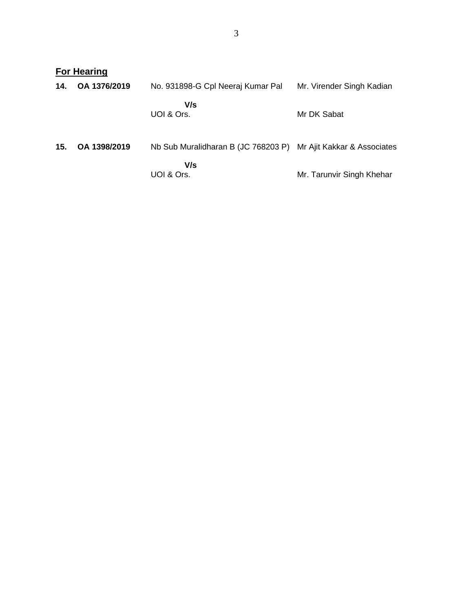|     | <b>For Hearing</b> |                                     |                             |  |  |
|-----|--------------------|-------------------------------------|-----------------------------|--|--|
| 14. | OA 1376/2019       | No. 931898-G Cpl Neeraj Kumar Pal   | Mr. Virender Singh Kadian   |  |  |
|     |                    | V/s<br>UOI & Ors.                   | Mr DK Sabat                 |  |  |
| 15. | OA 1398/2019       | Nb Sub Muralidharan B (JC 768203 P) | Mr Ajit Kakkar & Associates |  |  |
|     |                    | V/s<br>UOI & Ors.                   | Mr. Tarunvir Singh Khehar   |  |  |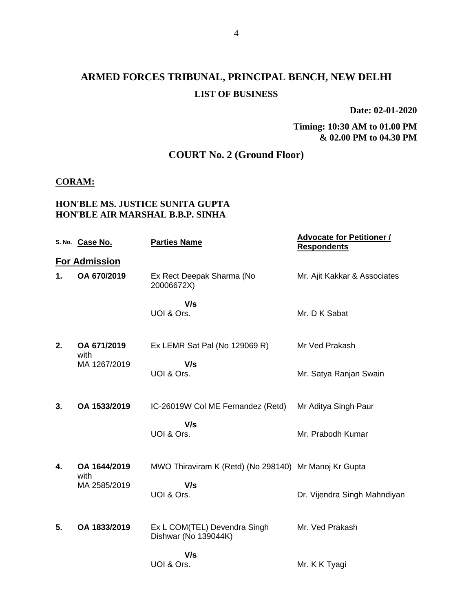# **ARMED FORCES TRIBUNAL, PRINCIPAL BENCH, NEW DELHI LIST OF BUSINESS**

**Date: 02-01-2020**

**Timing: 10:30 AM to 01.00 PM & 02.00 PM to 04.30 PM**

## **COURT No. 2 (Ground Floor)**

### **CORAM:**

## **HON'BLE MS. JUSTICE SUNITA GUPTA HON'BLE AIR MARSHAL B.B.P. SINHA**

|    | S. No. Case No.      | <b>Parties Name</b>                                   | <b>Advocate for Petitioner /</b><br><b>Respondents</b> |
|----|----------------------|-------------------------------------------------------|--------------------------------------------------------|
|    | <b>For Admission</b> |                                                       |                                                        |
| 1. | OA 670/2019          | Ex Rect Deepak Sharma (No<br>20006672X)               | Mr. Ajit Kakkar & Associates                           |
|    |                      | V/s<br>UOI & Ors.                                     | Mr. D K Sabat                                          |
| 2. | OA 671/2019<br>with  | Ex LEMR Sat Pal (No 129069 R)                         | Mr Ved Prakash                                         |
|    | MA 1267/2019         | V/s<br>UOI & Ors.                                     | Mr. Satya Ranjan Swain                                 |
| 3. | OA 1533/2019         | IC-26019W Col ME Fernandez (Retd)                     | Mr Aditya Singh Paur                                   |
|    |                      | V/s<br>UOI & Ors.                                     | Mr. Prabodh Kumar                                      |
| 4. | OA 1644/2019<br>with | MWO Thiraviram K (Retd) (No 298140) Mr Manoj Kr Gupta |                                                        |
|    | MA 2585/2019         | V/s<br>UOI & Ors.                                     | Dr. Vijendra Singh Mahndiyan                           |
| 5. | OA 1833/2019         | Ex L COM(TEL) Devendra Singh<br>Dishwar (No 139044K)  | Mr. Ved Prakash                                        |
|    |                      | V/s<br>UOI & Ors.                                     | Mr. K K Tyagi                                          |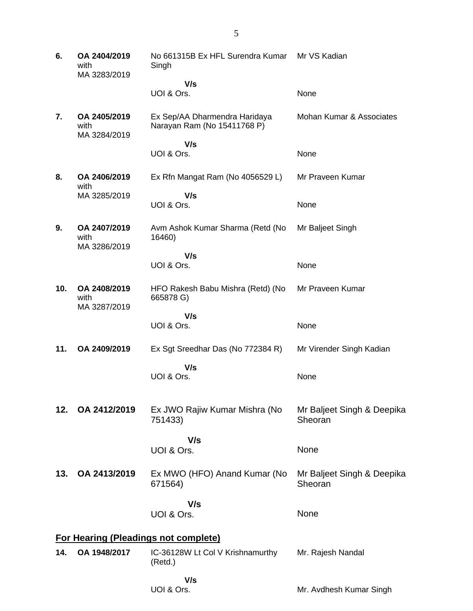| 6.  | OA 2404/2019<br>with<br>MA 3283/2019 | No 661315B Ex HFL Surendra Kumar<br>Singh                    | Mr VS Kadian                          |
|-----|--------------------------------------|--------------------------------------------------------------|---------------------------------------|
|     |                                      | V/s                                                          |                                       |
|     |                                      | UOI & Ors.                                                   | None                                  |
| 7.  | OA 2405/2019<br>with<br>MA 3284/2019 | Ex Sep/AA Dharmendra Haridaya<br>Narayan Ram (No 15411768 P) | Mohan Kumar & Associates              |
|     |                                      | V/s                                                          |                                       |
|     |                                      | UOI & Ors.                                                   | None                                  |
| 8.  | OA 2406/2019<br>with                 | Ex Rfn Mangat Ram (No 4056529 L)                             | Mr Praveen Kumar                      |
|     | MA 3285/2019                         | V/s                                                          |                                       |
|     |                                      | UOI & Ors.                                                   | None                                  |
| 9.  | OA 2407/2019<br>with<br>MA 3286/2019 | Avm Ashok Kumar Sharma (Retd (No<br>16460)                   | Mr Baljeet Singh                      |
|     |                                      | V/s                                                          |                                       |
|     |                                      | UOI & Ors.                                                   | None                                  |
| 10. | OA 2408/2019<br>with<br>MA 3287/2019 | HFO Rakesh Babu Mishra (Retd) (No<br>665878 G)               | Mr Praveen Kumar                      |
|     |                                      | V/s                                                          |                                       |
|     |                                      | UOI & Ors.                                                   | None                                  |
| 11. | OA 2409/2019                         | Ex Sgt Sreedhar Das (No 772384 R)                            | Mr Virender Singh Kadian              |
|     |                                      | V/s                                                          |                                       |
|     |                                      | UOI & Ors.                                                   | None                                  |
|     |                                      |                                                              |                                       |
| 12. | OA 2412/2019                         | Ex JWO Rajiw Kumar Mishra (No<br>751433)                     | Mr Baljeet Singh & Deepika<br>Sheoran |
|     |                                      | V/s                                                          |                                       |
|     |                                      | UOI & Ors.                                                   | None                                  |
| 13. | OA 2413/2019                         | Ex MWO (HFO) Anand Kumar (No<br>671564)                      | Mr Baljeet Singh & Deepika<br>Sheoran |
|     |                                      | V/s                                                          |                                       |
|     |                                      | UOI & Ors.                                                   | None                                  |
|     |                                      |                                                              |                                       |
|     |                                      | <b>For Hearing (Pleadings not complete)</b>                  |                                       |
| 14. | OA 1948/2017                         | IC-36128W Lt Col V Krishnamurthy<br>(Retd.)                  | Mr. Rajesh Nandal                     |
|     |                                      | V/s                                                          |                                       |
|     |                                      | UOI & Ors.                                                   | Mr. Avdhesh Kumar Singh               |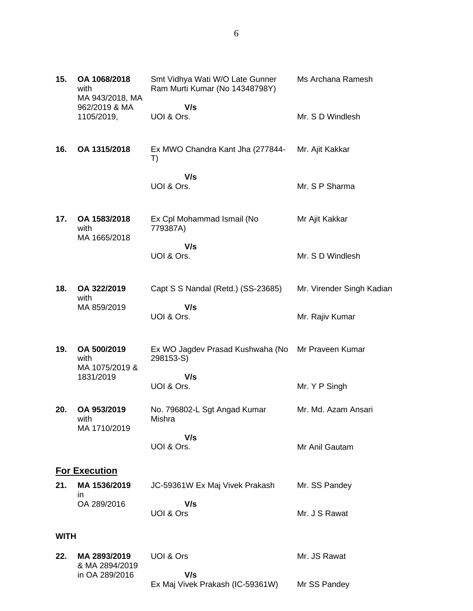| 15.         | OA 1068/2018<br>with                           | Smt Vidhya Wati W/O Late Gunner<br>Ram Murti Kumar (No 14348798Y) | Ms Archana Ramesh         |
|-------------|------------------------------------------------|-------------------------------------------------------------------|---------------------------|
|             | MA 943/2018, MA<br>962/2019 & MA<br>1105/2019, | V/s<br>UOI & Ors.                                                 | Mr. S D Windlesh          |
| 16.         | OA 1315/2018                                   | Ex MWO Chandra Kant Jha (277844-<br>T)                            | Mr. Ajit Kakkar           |
|             |                                                | V/s<br>UOI & Ors.                                                 | Mr. S P Sharma            |
| 17.         | OA 1583/2018<br>with                           | Ex Cpl Mohammad Ismail (No<br>779387A)                            | Mr Ajit Kakkar            |
|             | MA 1665/2018                                   | V/s<br>UOI & Ors.                                                 | Mr. S D Windlesh          |
| 18.         | OA 322/2019<br>with                            | Capt S S Nandal (Retd.) (SS-23685)                                | Mr. Virender Singh Kadian |
|             | MA 859/2019                                    | V/s<br>UOI & Ors.                                                 | Mr. Rajiv Kumar           |
| 19.         | OA 500/2019<br>with                            | Ex WO Jagdev Prasad Kushwaha (No<br>298153-S)                     | Mr Praveen Kumar          |
|             | MA 1075/2019 &<br>1831/2019                    | V/s<br>UOI & Ors.                                                 | Mr. Y P Singh             |
| 20.         | OA 953/2019<br>with<br>MA 1710/2019            | No. 796802-L Sgt Angad Kumar<br>Mishra                            | Mr. Md. Azam Ansari       |
|             |                                                | V/s<br>UOI & Ors.                                                 | Mr Anil Gautam            |
|             | <b>For Execution</b>                           |                                                                   |                           |
| 21.         | MA 1536/2019<br>ın                             | JC-59361W Ex Maj Vivek Prakash                                    | Mr. SS Pandey             |
|             | OA 289/2016                                    | V/s<br>UOI & Ors                                                  | Mr. J S Rawat             |
| <b>WITH</b> |                                                |                                                                   |                           |
| 22.         | MA 2893/2019<br>& MA 2894/2019                 | UOI & Ors                                                         | Mr. JS Rawat              |
|             | in OA 289/2016                                 | V/s<br>Ex Maj Vivek Prakash (IC-59361W)                           | Mr SS Pandey              |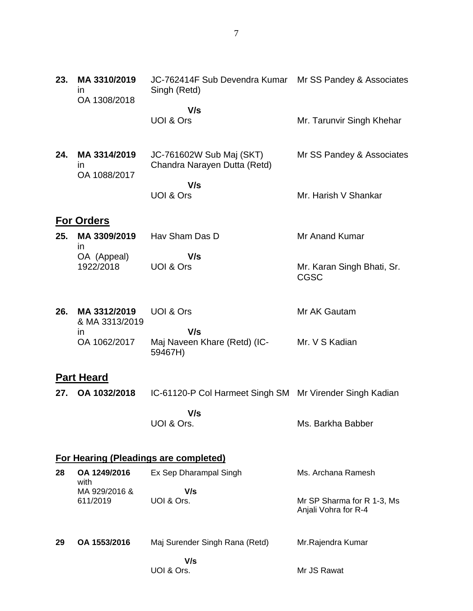| 23. | MA 3310/2019<br>ın<br>OA 1308/2018 | JC-762414F Sub Devendra Kumar Mr SS Pandey & Associates<br>Singh (Retd) |                                                    |
|-----|------------------------------------|-------------------------------------------------------------------------|----------------------------------------------------|
|     |                                    | V/s<br>UOI & Ors                                                        | Mr. Tarunvir Singh Khehar                          |
| 24. | MA 3314/2019<br>in<br>OA 1088/2017 | JC-761602W Sub Maj (SKT)<br>Chandra Narayen Dutta (Retd)                | Mr SS Pandey & Associates                          |
|     |                                    | V/s<br>UOI & Ors                                                        | Mr. Harish V Shankar                               |
|     | <b>For Orders</b>                  |                                                                         |                                                    |
| 25. | MA 3309/2019<br>ın                 | Hav Sham Das D                                                          | Mr Anand Kumar                                     |
|     | OA (Appeal)<br>1922/2018           | V/s<br>UOI & Ors                                                        | Mr. Karan Singh Bhati, Sr.<br><b>CGSC</b>          |
| 26. | MA 3312/2019<br>& MA 3313/2019     | UOI & Ors                                                               | Mr AK Gautam                                       |
|     | in<br>OA 1062/2017                 | V/s<br>Maj Naveen Khare (Retd) (IC-<br>59467H)                          | Mr. V S Kadian                                     |
|     | <b>Part Heard</b>                  |                                                                         |                                                    |
| 27. | OA 1032/2018                       | IC-61120-P Col Harmeet Singh SM Mr Virender Singh Kadian                |                                                    |
|     |                                    | V/s<br>UOI & Ors.                                                       | Ms. Barkha Babber                                  |
|     |                                    | <b>For Hearing (Pleadings are completed)</b>                            |                                                    |
| 28  | OA 1249/2016                       | Ex Sep Dharampal Singh                                                  | Ms. Archana Ramesh                                 |
|     | with<br>MA 929/2016 &<br>611/2019  | V/s<br>UOI & Ors.                                                       | Mr SP Sharma for R 1-3, Ms<br>Anjali Vohra for R-4 |
| 29  | OA 1553/2016                       | Maj Surender Singh Rana (Retd)                                          | Mr.Rajendra Kumar                                  |
|     |                                    | V/s<br>UOI & Ors.                                                       | Mr JS Rawat                                        |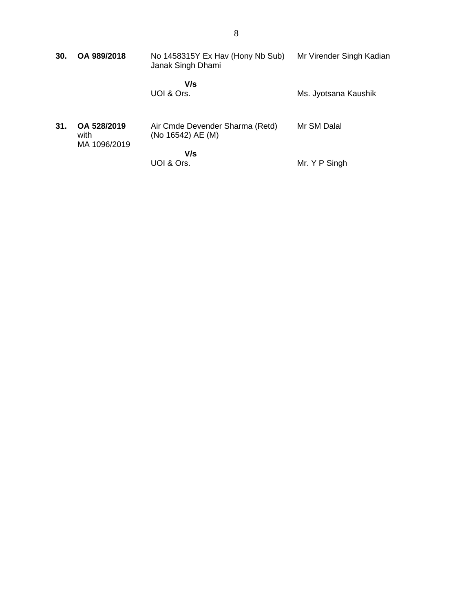| 30. | OA 989/2018                         | No 1458315Y Ex Hav (Hony Nb Sub)<br>Janak Singh Dhami | Mr Virender Singh Kadian |
|-----|-------------------------------------|-------------------------------------------------------|--------------------------|
|     |                                     | V/s<br>UOI & Ors.                                     | Ms. Jyotsana Kaushik     |
| 31. | OA 528/2019<br>with<br>MA 1096/2019 | Air Cmde Devender Sharma (Retd)<br>(No 16542) AE (M)  | Mr SM Dalal              |
|     |                                     | V/s<br>UOI & Ors.                                     | Mr. Y P Singh            |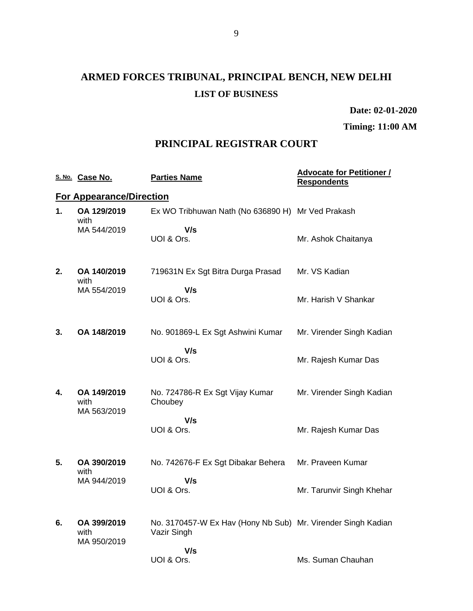# **ARMED FORCES TRIBUNAL, PRINCIPAL BENCH, NEW DELHI LIST OF BUSINESS**

**Date: 02-01-2020**

**Timing: 11:00 AM**

## **PRINCIPAL REGISTRAR COURT**

|    | S. No. Case No.                    | <b>Parties Name</b>                                                         | <b>Advocate for Petitioner /</b><br><b>Respondents</b> |
|----|------------------------------------|-----------------------------------------------------------------------------|--------------------------------------------------------|
|    | <b>For Appearance/Direction</b>    |                                                                             |                                                        |
| 1. | OA 129/2019<br>with                | Ex WO Tribhuwan Nath (No 636890 H) Mr Ved Prakash                           |                                                        |
|    | MA 544/2019                        | V/s<br>UOI & Ors.                                                           | Mr. Ashok Chaitanya                                    |
| 2. | OA 140/2019<br>with                | 719631N Ex Sgt Bitra Durga Prasad                                           | Mr. VS Kadian                                          |
|    | MA 554/2019                        | V/s<br>UOI & Ors.                                                           | Mr. Harish V Shankar                                   |
| 3. | OA 148/2019                        | No. 901869-L Ex Sgt Ashwini Kumar                                           | Mr. Virender Singh Kadian                              |
|    |                                    | V/s<br>UOI & Ors.                                                           | Mr. Rajesh Kumar Das                                   |
| 4. | OA 149/2019<br>with<br>MA 563/2019 | No. 724786-R Ex Sgt Vijay Kumar<br>Choubey                                  | Mr. Virender Singh Kadian                              |
|    |                                    | V/s<br>UOI & Ors.                                                           | Mr. Rajesh Kumar Das                                   |
| 5. | OA 390/2019<br>with                | No. 742676-F Ex Sgt Dibakar Behera                                          | Mr. Praveen Kumar                                      |
|    | MA 944/2019                        | V/s<br>UOI & Ors.                                                           | Mr. Tarunvir Singh Khehar                              |
| 6. | OA 399/2019<br>with<br>MA 950/2019 | No. 3170457-W Ex Hav (Hony Nb Sub) Mr. Virender Singh Kadian<br>Vazir Singh |                                                        |
|    |                                    | V/s<br>UOI & Ors.                                                           | Ms. Suman Chauhan                                      |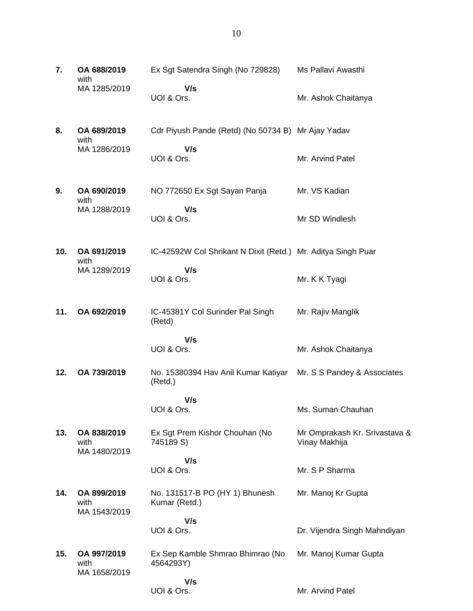| 7.  | OA 688/2019<br>with                 | Ex Sgt Satendra Singh (No 729828)                                          | Ms Pallavi Awasthi                             |
|-----|-------------------------------------|----------------------------------------------------------------------------|------------------------------------------------|
|     | MA 1285/2019                        | V/s<br>UOI & Ors.                                                          | Mr. Ashok Chaitanya                            |
| 8.  | OA 689/2019<br>with                 | Cdr Piyush Pande (Retd) (No 50734 B) Mr Ajay Yadav                         |                                                |
|     | MA 1286/2019                        | V/s<br>UOI & Ors.                                                          | Mr. Arvind Patel                               |
| 9.  | OA 690/2019<br>with                 | NO 772650 Ex Sgt Sayan Panja                                               | Mr. VS Kadian                                  |
|     | MA 1288/2019                        | V/s<br>UOI & Ors.                                                          | Mr SD Windlesh                                 |
| 10. | OA 691/2019<br>with                 | IC-42592W Col Shrikant N Dixit (Retd.) Mr. Aditya Singh Puar               |                                                |
|     | MA 1289/2019                        | V/s<br>UOI & Ors.                                                          | Mr. K K Tyagi                                  |
| 11. | OA 692/2019                         | IC-45381Y Col Surinder Pal Singh<br>(Retd)                                 | Mr. Rajiv Manglik                              |
|     |                                     |                                                                            |                                                |
|     |                                     | V/s<br>UOI & Ors.                                                          | Mr. Ashok Chaitanya                            |
| 12. | OA 739/2019                         | No. 15380394 Hav Anil Kumar Katiyar Mr. S S Pandey & Associates<br>(Retd.) |                                                |
|     |                                     | V/s<br>UOI & Ors.                                                          | Ms. Suman Chauhan                              |
| 13. | OA 838/2019<br>with                 | Ex Sgt Prem Kishor Chouhan (No<br>745189 S)                                | Mr Omprakash Kr. Srivastava &<br>Vinay Makhija |
|     | MA 1480/2019                        | V/s<br>UOI & Ors.                                                          | Mr. S P Sharma                                 |
| 14. | OA 899/2019<br>with                 | No. 131517-B PO (HY 1) Bhunesh<br>Kumar (Retd.)                            | Mr. Manoj Kr Gupta                             |
|     | MA 1543/2019                        | V/s<br>UOI & Ors.                                                          | Dr. Vijendra Singh Mahndiyan                   |
| 15. | OA 997/2019<br>with<br>MA 1658/2019 | Ex Sep Kamble Shmrao Bhimrao (No<br>4564293Y)                              | Mr. Manoj Kumar Gupta                          |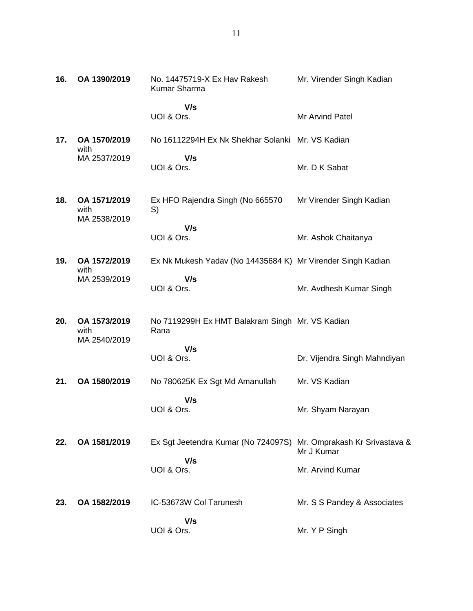| 16. | OA 1390/2019                         | No. 14475719-X Ex Hav Rakesh<br>Kumar Sharma                      | Mr. Virender Singh Kadian    |
|-----|--------------------------------------|-------------------------------------------------------------------|------------------------------|
|     |                                      | V/s<br>UOI & Ors.                                                 | Mr Arvind Patel              |
| 17. | OA 1570/2019<br>with                 | No 16112294H Ex Nk Shekhar Solanki Mr. VS Kadian                  |                              |
|     | MA 2537/2019                         | V/s<br>UOI & Ors.                                                 | Mr. D K Sabat                |
| 18. | OA 1571/2019<br>with<br>MA 2538/2019 | Ex HFO Rajendra Singh (No 665570<br>S)                            | Mr Virender Singh Kadian     |
|     |                                      | V/s<br>UOI & Ors.                                                 | Mr. Ashok Chaitanya          |
| 19. | OA 1572/2019<br>with                 | Ex Nk Mukesh Yadav (No 14435684 K) Mr Virender Singh Kadian       |                              |
|     | MA 2539/2019                         | V/s<br>UOI & Ors.                                                 | Mr. Avdhesh Kumar Singh      |
| 20. | OA 1573/2019<br>with<br>MA 2540/2019 | No 7119299H Ex HMT Balakram Singh Mr. VS Kadian<br>Rana           |                              |
|     |                                      | V/s<br>UOI & Ors.                                                 | Dr. Vijendra Singh Mahndiyan |
| 21. | OA 1580/2019                         | No 780625K Ex Sgt Md Amanullah                                    | Mr. VS Kadian                |
|     |                                      | V/s<br>UOI & Ors.                                                 | Mr. Shyam Narayan            |
| 22. | OA 1581/2019                         | Ex Sgt Jeetendra Kumar (No 724097S) Mr. Omprakash Kr Srivastava & | Mr J Kumar                   |
|     |                                      | V/s<br>UOI & Ors.                                                 | Mr. Arvind Kumar             |
| 23. | OA 1582/2019                         | IC-53673W Col Tarunesh                                            | Mr. S S Pandey & Associates  |
|     |                                      | V/s<br>UOI & Ors.                                                 | Mr. Y P Singh                |